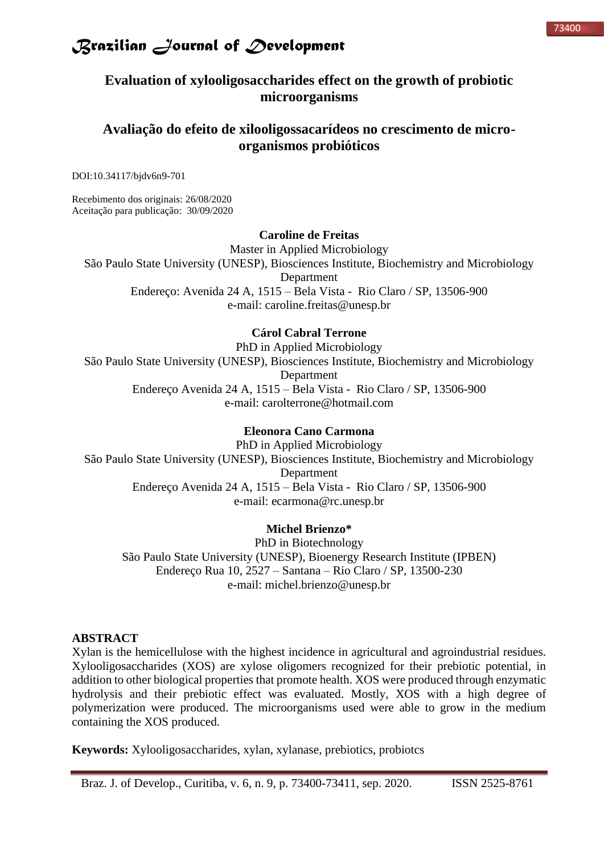### **Evaluation of xylooligosaccharides effect on the growth of probiotic microorganisms**

### **Avaliação do efeito de xilooligossacarídeos no crescimento de microorganismos probióticos**

DOI:10.34117/bjdv6n9-701

Recebimento dos originais: 26/08/2020 Aceitação para publicação: 30/09/2020

#### **Caroline de Freitas**

Master in Applied Microbiology São Paulo State University (UNESP), Biosciences Institute, Biochemistry and Microbiology Department Endereço: Avenida 24 A, 1515 – Bela Vista - Rio Claro / SP, 13506-900 e-mail: caroline.freitas@unesp.br

### **Cárol Cabral Terrone**

PhD in Applied Microbiology São Paulo State University (UNESP), Biosciences Institute, Biochemistry and Microbiology Department Endereço Avenida 24 A, 1515 – Bela Vista - Rio Claro / SP, 13506-900 e-mail: carolterrone@hotmail.com

#### **Eleonora Cano Carmona**

PhD in Applied Microbiology São Paulo State University (UNESP), Biosciences Institute, Biochemistry and Microbiology Department Endereço Avenida 24 A, 1515 – Bela Vista - Rio Claro / SP, 13506-900 e-mail: ecarmona@rc.unesp.br

#### **Michel Brienzo\***

PhD in Biotechnology São Paulo State University (UNESP), Bioenergy Research Institute (IPBEN) Endereço Rua 10, 2527 – Santana – Rio Claro / SP, 13500-230 e-mail: michel.brienzo@unesp.br

### **ABSTRACT**

Xylan is the hemicellulose with the highest incidence in agricultural and agroindustrial residues. Xylooligosaccharides (XOS) are xylose oligomers recognized for their prebiotic potential, in addition to other biological properties that promote health. XOS were produced through enzymatic hydrolysis and their prebiotic effect was evaluated. Mostly, XOS with a high degree of polymerization were produced. The microorganisms used were able to grow in the medium containing the XOS produced.

**Keywords:** Xylooligosaccharides, xylan, xylanase, prebiotics, probiotcs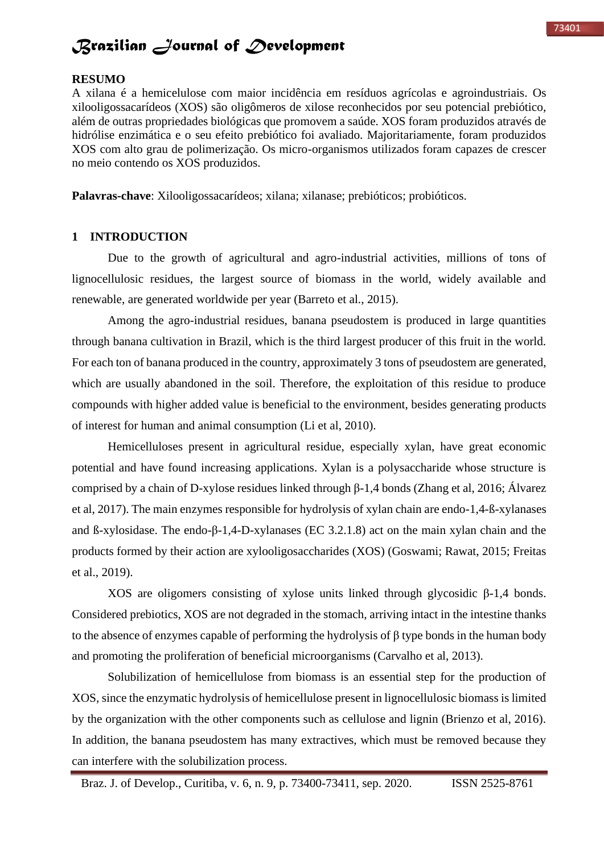#### **RESUMO**

A xilana é a hemicelulose com maior incidência em resíduos agrícolas e agroindustriais. Os xilooligossacarídeos (XOS) são oligômeros de xilose reconhecidos por seu potencial prebiótico, além de outras propriedades biológicas que promovem a saúde. XOS foram produzidos através de hidrólise enzimática e o seu efeito prebiótico foi avaliado. Majoritariamente, foram produzidos XOS com alto grau de polimerização. Os micro-organismos utilizados foram capazes de crescer no meio contendo os XOS produzidos.

**Palavras-chave**: Xilooligossacarídeos; xilana; xilanase; prebióticos; probióticos.

#### **1 INTRODUCTION**

Due to the growth of agricultural and agro-industrial activities, millions of tons of lignocellulosic residues, the largest source of biomass in the world, widely available and renewable, are generated worldwide per year (Barreto et al., 2015).

Among the agro-industrial residues, banana pseudostem is produced in large quantities through banana cultivation in Brazil, which is the third largest producer of this fruit in the world. For each ton of banana produced in the country, approximately 3 tons of pseudostem are generated, which are usually abandoned in the soil. Therefore, the exploitation of this residue to produce compounds with higher added value is beneficial to the environment, besides generating products of interest for human and animal consumption (Li et al, 2010).

Hemicelluloses present in agricultural residue, especially xylan, have great economic potential and have found increasing applications. Xylan is a polysaccharide whose structure is comprised by a chain of D-xylose residues linked through β-1,4 bonds (Zhang et al, 2016; Álvarez et al, 2017). The main enzymes responsible for hydrolysis of xylan chain are endo-1,4-ß-xylanases and ß-xylosidase. The endo-β-1,4-D-xylanases (EC 3.2.1.8) act on the main xylan chain and the products formed by their action are xylooligosaccharides (XOS) (Goswami; Rawat, 2015; Freitas et al., 2019).

XOS are oligomers consisting of xylose units linked through glycosidic β-1,4 bonds. Considered prebiotics, XOS are not degraded in the stomach, arriving intact in the intestine thanks to the absence of enzymes capable of performing the hydrolysis of β type bonds in the human body and promoting the proliferation of beneficial microorganisms (Carvalho et al, 2013).

Solubilization of hemicellulose from biomass is an essential step for the production of XOS, since the enzymatic hydrolysis of hemicellulose present in lignocellulosic biomass is limited by the organization with the other components such as cellulose and lignin (Brienzo et al, 2016). In addition, the banana pseudostem has many extractives, which must be removed because they can interfere with the solubilization process.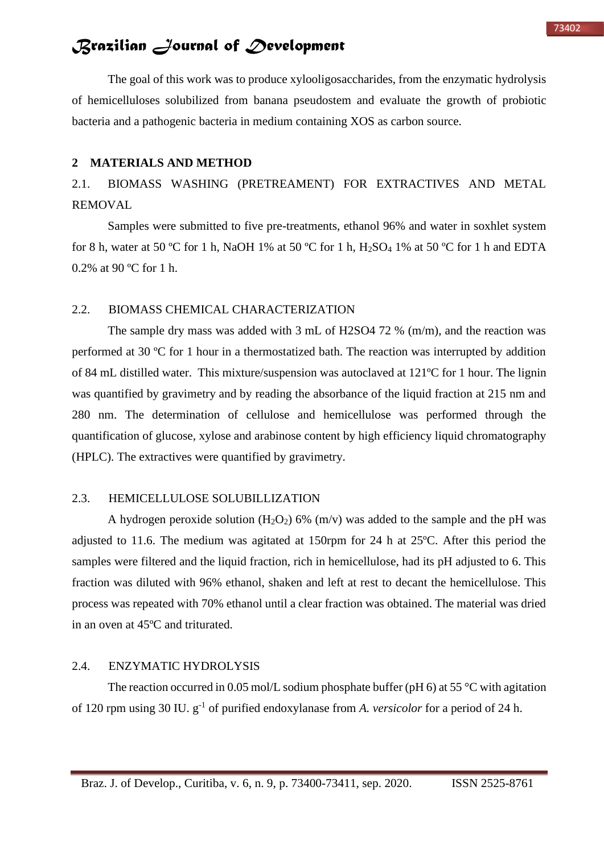The goal of this work was to produce xylooligosaccharides, from the enzymatic hydrolysis of hemicelluloses solubilized from banana pseudostem and evaluate the growth of probiotic bacteria and a pathogenic bacteria in medium containing XOS as carbon source.

#### **2 MATERIALS AND METHOD**

2.1. BIOMASS WASHING (PRETREAMENT) FOR EXTRACTIVES AND METAL REMOVAL

Samples were submitted to five pre-treatments, ethanol 96% and water in soxhlet system for 8 h, water at 50 °C for 1 h, NaOH 1% at 50 °C for 1 h, H<sub>2</sub>SO<sub>4</sub> 1% at 50 °C for 1 h and EDTA 0.2% at 90 ºC for 1 h.

#### 2.2. BIOMASS CHEMICAL CHARACTERIZATION

The sample dry mass was added with 3 mL of H2SO4 72 % (m/m), and the reaction was performed at 30 ºC for 1 hour in a thermostatized bath. The reaction was interrupted by addition of 84 mL distilled water. This mixture/suspension was autoclaved at 121ºC for 1 hour. The lignin was quantified by gravimetry and by reading the absorbance of the liquid fraction at 215 nm and 280 nm. The determination of cellulose and hemicellulose was performed through the quantification of glucose, xylose and arabinose content by high efficiency liquid chromatography (HPLC). The extractives were quantified by gravimetry.

### 2.3. HEMICELLULOSE SOLUBILLIZATION

A hydrogen peroxide solution  $(H_2O_2)$  6%  $(m/v)$  was added to the sample and the pH was adjusted to 11.6. The medium was agitated at 150rpm for 24 h at 25ºC. After this period the samples were filtered and the liquid fraction, rich in hemicellulose, had its pH adjusted to 6. This fraction was diluted with 96% ethanol, shaken and left at rest to decant the hemicellulose. This process was repeated with 70% ethanol until a clear fraction was obtained. The material was dried in an oven at 45ºC and triturated.

#### 2.4. ENZYMATIC HYDROLYSIS

The reaction occurred in 0.05 mol/L sodium phosphate buffer (pH 6) at 55  $\degree$ C with agitation of 120 rpm using 30 IU.  $g^{-1}$  of purified endoxylanase from *A. versicolor* for a period of 24 h.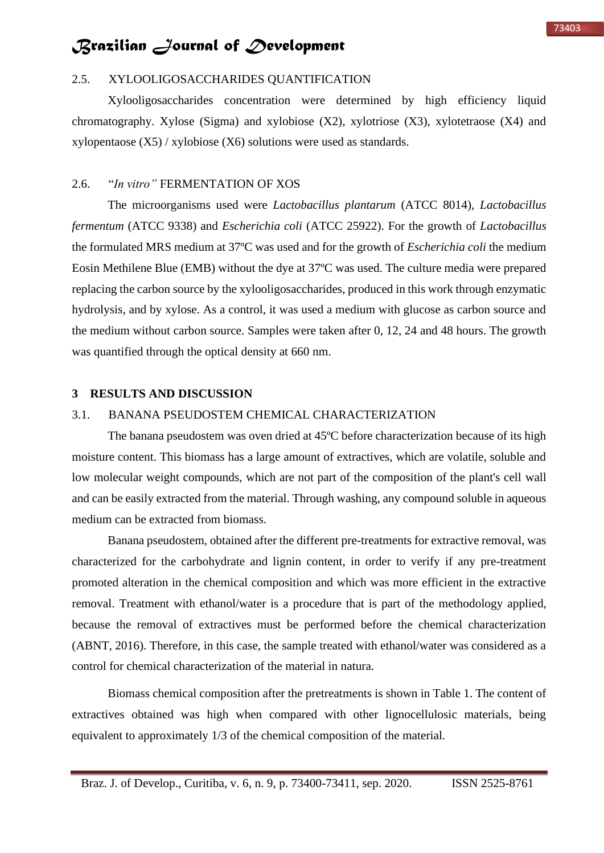#### 2.5. XYLOOLIGOSACCHARIDES QUANTIFICATION

Xylooligosaccharides concentration were determined by high efficiency liquid chromatography. Xylose (Sigma) and xylobiose  $(X2)$ , xylotriose  $(X3)$ , xylotetraose  $(X4)$  and xylopentaose (X5) / xylobiose (X6) solutions were used as standards.

### 2.6. "*In vitro"* FERMENTATION OF XOS

The microorganisms used were *Lactobacillus plantarum* (ATCC 8014), *Lactobacillus fermentum* (ATCC 9338) and *Escherichia coli* (ATCC 25922). For the growth of *Lactobacillus* the formulated MRS medium at 37ºC was used and for the growth of *Escherichia coli* the medium Eosin Methilene Blue (EMB) without the dye at 37ºC was used. The culture media were prepared replacing the carbon source by the xylooligosaccharides, produced in this work through enzymatic hydrolysis, and by xylose. As a control, it was used a medium with glucose as carbon source and the medium without carbon source. Samples were taken after 0, 12, 24 and 48 hours. The growth was quantified through the optical density at 660 nm.

#### **3 RESULTS AND DISCUSSION**

### 3.1. BANANA PSEUDOSTEM CHEMICAL CHARACTERIZATION

The banana pseudostem was oven dried at 45ºC before characterization because of its high moisture content. This biomass has a large amount of extractives, which are volatile, soluble and low molecular weight compounds, which are not part of the composition of the plant's cell wall and can be easily extracted from the material. Through washing, any compound soluble in aqueous medium can be extracted from biomass.

Banana pseudostem, obtained after the different pre-treatments for extractive removal, was characterized for the carbohydrate and lignin content, in order to verify if any pre-treatment promoted alteration in the chemical composition and which was more efficient in the extractive removal. Treatment with ethanol/water is a procedure that is part of the methodology applied, because the removal of extractives must be performed before the chemical characterization (ABNT, 2016). Therefore, in this case, the sample treated with ethanol/water was considered as a control for chemical characterization of the material in natura.

Biomass chemical composition after the pretreatments is shown in Table 1. The content of extractives obtained was high when compared with other lignocellulosic materials, being equivalent to approximately 1/3 of the chemical composition of the material.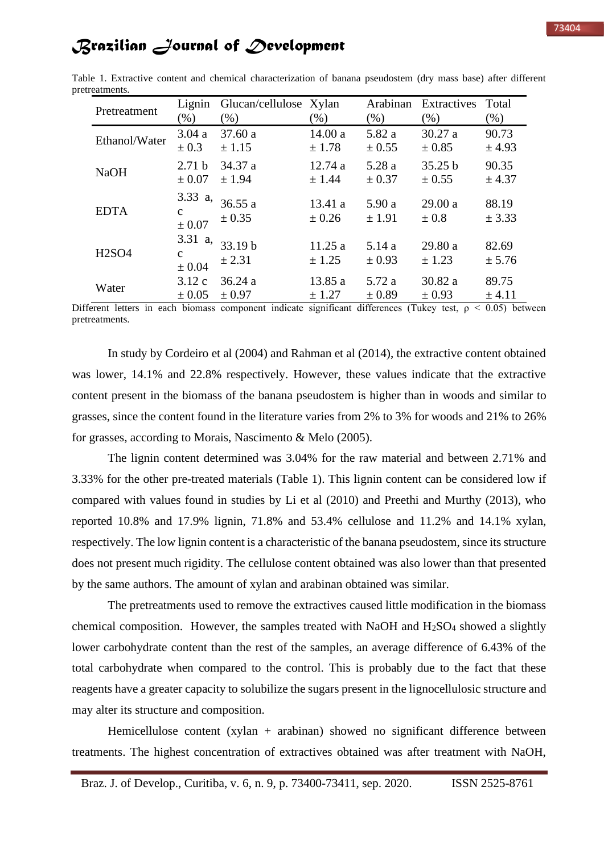| Pretreatment  | Lignin<br>$(\%)$                         | Glucan/cellulose Xylan<br>$(\%)$ | $(\%)$               | Arabinan<br>$(\% )$ | Extractives<br>$(\% )$ | Total<br>$(\% )$ |
|---------------|------------------------------------------|----------------------------------|----------------------|---------------------|------------------------|------------------|
| Ethanol/Water | 3.04a                                    | 37.60 a                          | 14.00a               | 5.82 a              | 30.27 a                | 90.73            |
|               | $\pm 0.3$                                | ± 1.15                           | ± 1.78               | $\pm$ 0.55          | $\pm 0.85$             | ± 4.93           |
| <b>NaOH</b>   | 2.71 <sub>b</sub>                        | 34.37 a                          | 12.74 a              | 5.28 a              | 35.25 b                | 90.35            |
|               | $\pm 0.07$                               | ± 1.94                           | ± 1.44               | $\pm 0.37$          | $\pm 0.55$             | ± 4.37           |
| <b>EDTA</b>   | 3.33 $a$ ,<br>$\mathbf{C}$<br>$\pm 0.07$ | 36.55a<br>$\pm$ 0.35             | 13.41a<br>$\pm 0.26$ | 5.90 a<br>± 1.91    | 29.00a<br>$\pm 0.8$    | 88.19<br>± 3.33  |
| <b>H2SO4</b>  | 3.31 a,<br>$\mathbf{C}$<br>$\pm 0.04$    | 33.19 b<br>± 2.31                | 11.25a<br>± 1.25     | 5.14a<br>$\pm 0.93$ | 29.80 a<br>± 1.23      | 82.69<br>± 5.76  |
| Water         | 3.12c                                    | 36.24a                           | 13.85 a              | 5.72 a              | 30.82 a                | 89.75            |
|               | $\pm 0.05$                               | $\pm 0.97$                       | ± 1.27               | ± 0.89              | $\pm 0.93$             | ± 4.11           |

Table 1. Extractive content and chemical characterization of banana pseudostem (dry mass base) after different pretreatments.

Different letters in each biomass component indicate significant differences (Tukey test,  $\rho \leq 0.05$ ) between pretreatments.

In study by Cordeiro et al (2004) and Rahman et al (2014), the extractive content obtained was lower, 14.1% and 22.8% respectively. However, these values indicate that the extractive content present in the biomass of the banana pseudostem is higher than in woods and similar to grasses, since the content found in the literature varies from 2% to 3% for woods and 21% to 26% for grasses, according to Morais, Nascimento & Melo (2005).

The lignin content determined was 3.04% for the raw material and between 2.71% and 3.33% for the other pre-treated materials (Table 1). This lignin content can be considered low if compared with values found in studies by Li et al (2010) and Preethi and Murthy (2013), who reported 10.8% and 17.9% lignin, 71.8% and 53.4% cellulose and 11.2% and 14.1% xylan, respectively. The low lignin content is a characteristic of the banana pseudostem, since its structure does not present much rigidity. The cellulose content obtained was also lower than that presented by the same authors. The amount of xylan and arabinan obtained was similar.

The pretreatments used to remove the extractives caused little modification in the biomass chemical composition. However, the samples treated with NaOH and  $H_2SO_4$  showed a slightly lower carbohydrate content than the rest of the samples, an average difference of 6.43% of the total carbohydrate when compared to the control. This is probably due to the fact that these reagents have a greater capacity to solubilize the sugars present in the lignocellulosic structure and may alter its structure and composition.

Hemicellulose content (xylan + arabinan) showed no significant difference between treatments. The highest concentration of extractives obtained was after treatment with NaOH,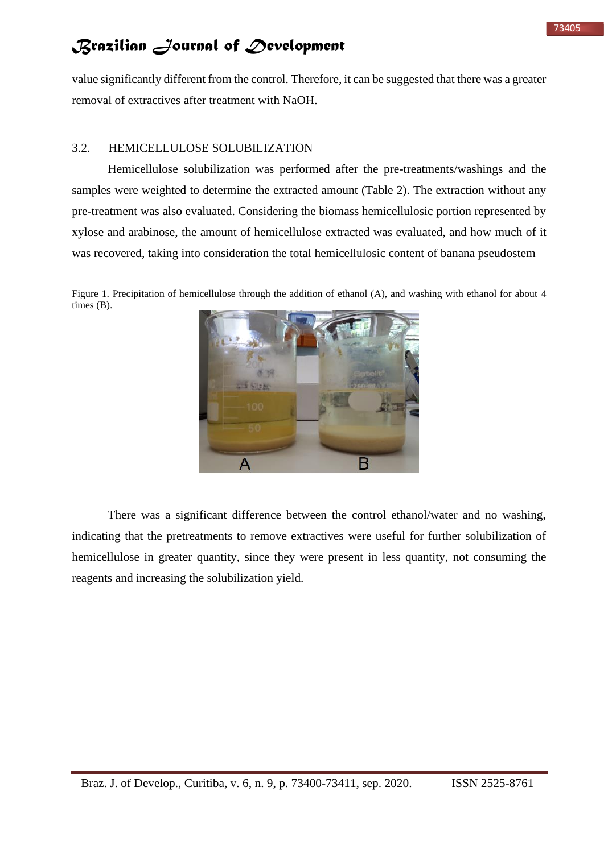value significantly different from the control. Therefore, it can be suggested that there was a greater removal of extractives after treatment with NaOH.

### 3.2. HEMICELLULOSE SOLUBILIZATION

Hemicellulose solubilization was performed after the pre-treatments/washings and the samples were weighted to determine the extracted amount (Table 2). The extraction without any pre-treatment was also evaluated. Considering the biomass hemicellulosic portion represented by xylose and arabinose, the amount of hemicellulose extracted was evaluated, and how much of it was recovered, taking into consideration the total hemicellulosic content of banana pseudostem

Figure 1. Precipitation of hemicellulose through the addition of ethanol (A), and washing with ethanol for about 4 times (B).



There was a significant difference between the control ethanol/water and no washing, indicating that the pretreatments to remove extractives were useful for further solubilization of hemicellulose in greater quantity, since they were present in less quantity, not consuming the reagents and increasing the solubilization yield.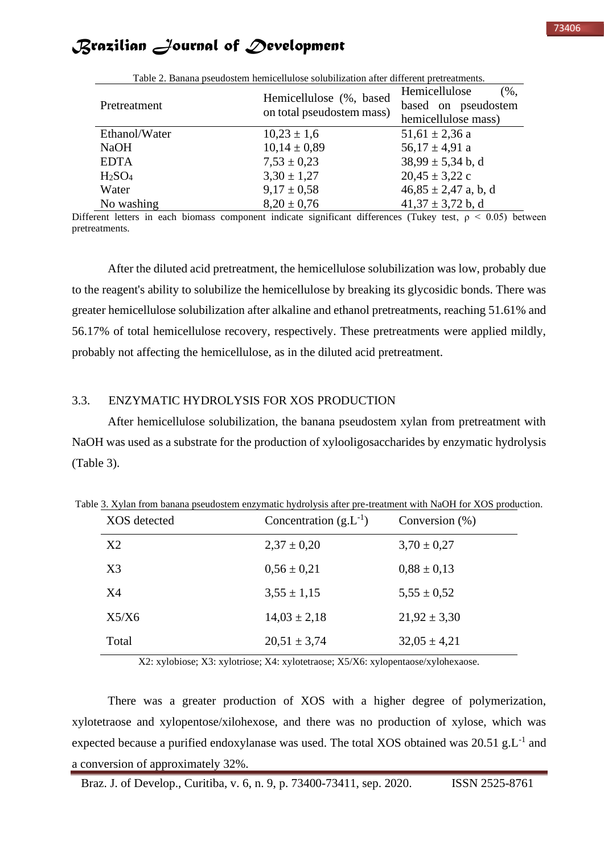| Table 2. Banana pseudostem nemicellulose solubilization after different pretreatments. |                                                      |                                                                                  |  |  |  |
|----------------------------------------------------------------------------------------|------------------------------------------------------|----------------------------------------------------------------------------------|--|--|--|
| Pretreatment                                                                           | Hemicellulose (%, based<br>on total pseudostem mass) | Hemicellulose<br>$\left(\%\right,$<br>based on pseudostem<br>hemicellulose mass) |  |  |  |
| Ethanol/Water                                                                          | $10,23 \pm 1,6$                                      | $51,61 \pm 2,36$ a                                                               |  |  |  |
| <b>NaOH</b>                                                                            | $10,14 \pm 0,89$                                     | $56,17 \pm 4,91$ a                                                               |  |  |  |
| <b>EDTA</b>                                                                            | $7,53 \pm 0,23$                                      | $38,99 \pm 5,34$ b, d                                                            |  |  |  |
| H <sub>2</sub> SO <sub>4</sub>                                                         | $3,30 \pm 1,27$                                      | $20,45 \pm 3,22$ c                                                               |  |  |  |
| Water                                                                                  | $9.17 \pm 0.58$                                      | $46,85 \pm 2,47$ a, b, d                                                         |  |  |  |
| No washing                                                                             | $8,20 \pm 0,76$                                      | $41,37 \pm 3,72$ b, d                                                            |  |  |  |

Table 2. Banana pseudostem hemicellulose solubilization after different pretreatments.

Different letters in each biomass component indicate significant differences (Tukey test,  $\rho \leq 0.05$ ) between pretreatments.

After the diluted acid pretreatment, the hemicellulose solubilization was low, probably due to the reagent's ability to solubilize the hemicellulose by breaking its glycosidic bonds. There was greater hemicellulose solubilization after alkaline and ethanol pretreatments, reaching 51.61% and 56.17% of total hemicellulose recovery, respectively. These pretreatments were applied mildly, probably not affecting the hemicellulose, as in the diluted acid pretreatment.

#### 3.3. ENZYMATIC HYDROLYSIS FOR XOS PRODUCTION

After hemicellulose solubilization, the banana pseudostem xylan from pretreatment with NaOH was used as a substrate for the production of xylooligosaccharides by enzymatic hydrolysis (Table 3).

| XOS detected   | Concentration $(g.L^{-1})$ | Conversion $(\%)$ |
|----------------|----------------------------|-------------------|
| X2             | $2,37 \pm 0,20$            | $3,70 \pm 0,27$   |
| X <sub>3</sub> | $0.56 \pm 0.21$            | $0.88 \pm 0.13$   |
| X4             | $3,55 \pm 1,15$            | $5,55 \pm 0.52$   |
| X5/X6          | $14,03 \pm 2,18$           | $21,92 \pm 3,30$  |
| Total          | $20,51 \pm 3,74$           | $32,05 \pm 4,21$  |

Table 3. Xylan from banana pseudostem enzymatic hydrolysis after pre-treatment with NaOH for XOS production.

X2: xylobiose; X3: xylotriose; X4: xylotetraose; X5/X6: xylopentaose/xylohexaose.

There was a greater production of XOS with a higher degree of polymerization, xylotetraose and xylopentose/xilohexose, and there was no production of xylose, which was expected because a purified endoxylanase was used. The total XOS obtained was  $20.51$  g.L<sup>-1</sup> and a conversion of approximately 32%.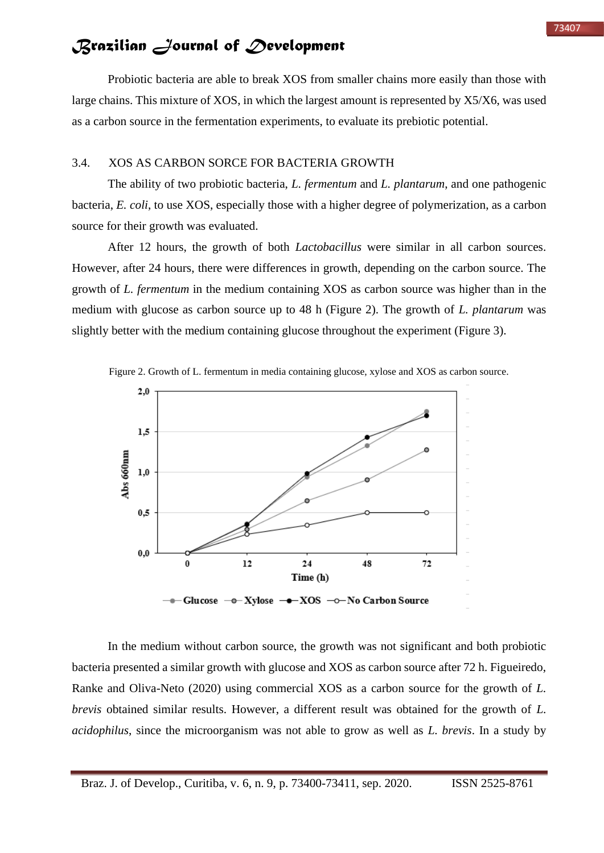Probiotic bacteria are able to break XOS from smaller chains more easily than those with large chains. This mixture of XOS, in which the largest amount is represented by X5/X6, was used as a carbon source in the fermentation experiments, to evaluate its prebiotic potential.

#### 3.4. XOS AS CARBON SORCE FOR BACTERIA GROWTH

The ability of two probiotic bacteria, *L. fermentum* and *L. plantarum*, and one pathogenic bacteria, *E. coli*, to use XOS, especially those with a higher degree of polymerization, as a carbon source for their growth was evaluated.

After 12 hours, the growth of both *Lactobacillus* were similar in all carbon sources. However, after 24 hours, there were differences in growth, depending on the carbon source. The growth of *L. fermentum* in the medium containing XOS as carbon source was higher than in the medium with glucose as carbon source up to 48 h (Figure 2). The growth of *L. plantarum* was slightly better with the medium containing glucose throughout the experiment (Figure 3).



Figure 2. Growth of L. fermentum in media containing glucose, xylose and XOS as carbon source.

In the medium without carbon source, the growth was not significant and both probiotic bacteria presented a similar growth with glucose and XOS as carbon source after 72 h. Figueiredo, Ranke and Oliva-Neto (2020) using commercial XOS as a carbon source for the growth of *L. brevis* obtained similar results. However, a different result was obtained for the growth of *L. acidophilus*, since the microorganism was not able to grow as well as *L. brevis*. In a study by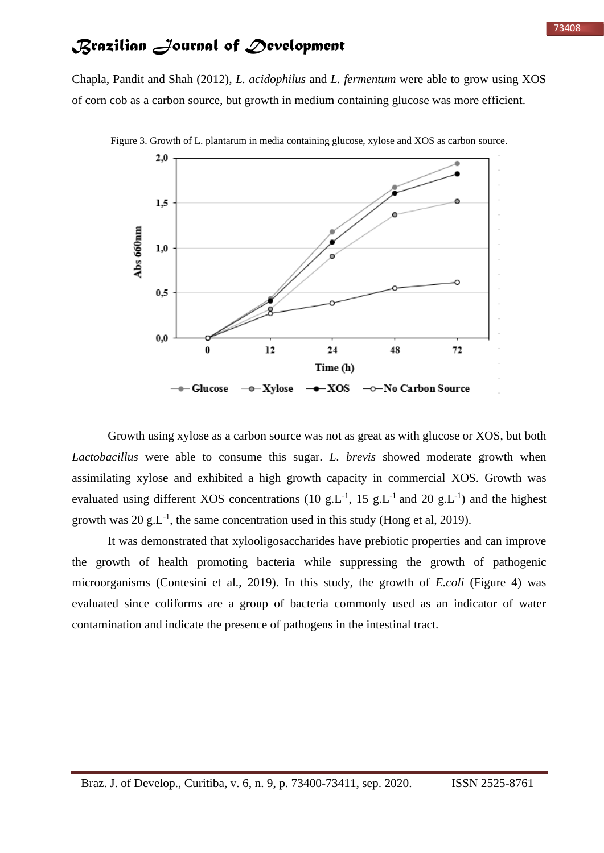Chapla, Pandit and Shah (2012), *L. acidophilus* and *L. fermentum* were able to grow using XOS of corn cob as a carbon source, but growth in medium containing glucose was more efficient.



Figure 3. Growth of L. plantarum in media containing glucose, xylose and XOS as carbon source.

Growth using xylose as a carbon source was not as great as with glucose or XOS, but both *Lactobacillus* were able to consume this sugar. *L. brevis* showed moderate growth when assimilating xylose and exhibited a high growth capacity in commercial XOS. Growth was evaluated using different XOS concentrations (10 g.L<sup>-1</sup>, 15 g.L<sup>-1</sup> and 20 g.L<sup>-1</sup>) and the highest growth was 20  $g.L^{-1}$ , the same concentration used in this study (Hong et al, 2019).

It was demonstrated that xylooligosaccharides have prebiotic properties and can improve the growth of health promoting bacteria while suppressing the growth of pathogenic microorganisms (Contesini et al., 2019). In this study, the growth of *E.coli* (Figure 4) was evaluated since coliforms are a group of bacteria commonly used as an indicator of water contamination and indicate the presence of pathogens in the intestinal tract.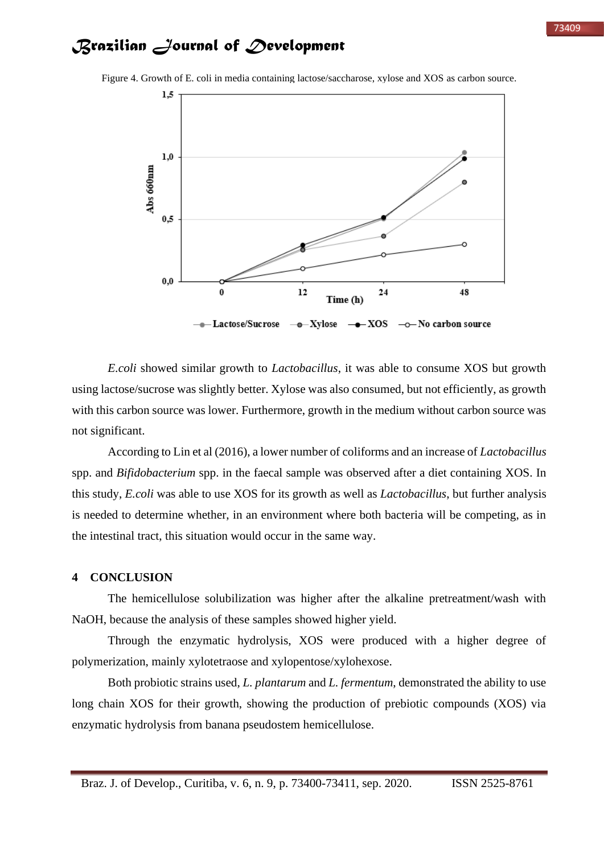

Figure 4. Growth of E. coli in media containing lactose/saccharose, xylose and XOS as carbon source.

*E.coli* showed similar growth to *Lactobacillus*, it was able to consume XOS but growth using lactose/sucrose was slightly better. Xylose was also consumed, but not efficiently, as growth with this carbon source was lower. Furthermore, growth in the medium without carbon source was not significant.

According to Lin et al (2016), a lower number of coliforms and an increase of *Lactobacillus* spp. and *Bifidobacterium* spp. in the faecal sample was observed after a diet containing XOS. In this study, *E.coli* was able to use XOS for its growth as well as *Lactobacillus*, but further analysis is needed to determine whether, in an environment where both bacteria will be competing, as in the intestinal tract, this situation would occur in the same way.

#### **4 CONCLUSION**

The hemicellulose solubilization was higher after the alkaline pretreatment/wash with NaOH, because the analysis of these samples showed higher yield.

Through the enzymatic hydrolysis, XOS were produced with a higher degree of polymerization, mainly xylotetraose and xylopentose/xylohexose.

Both probiotic strains used, *L. plantarum* and *L. fermentum*, demonstrated the ability to use long chain XOS for their growth, showing the production of prebiotic compounds (XOS) via enzymatic hydrolysis from banana pseudostem hemicellulose.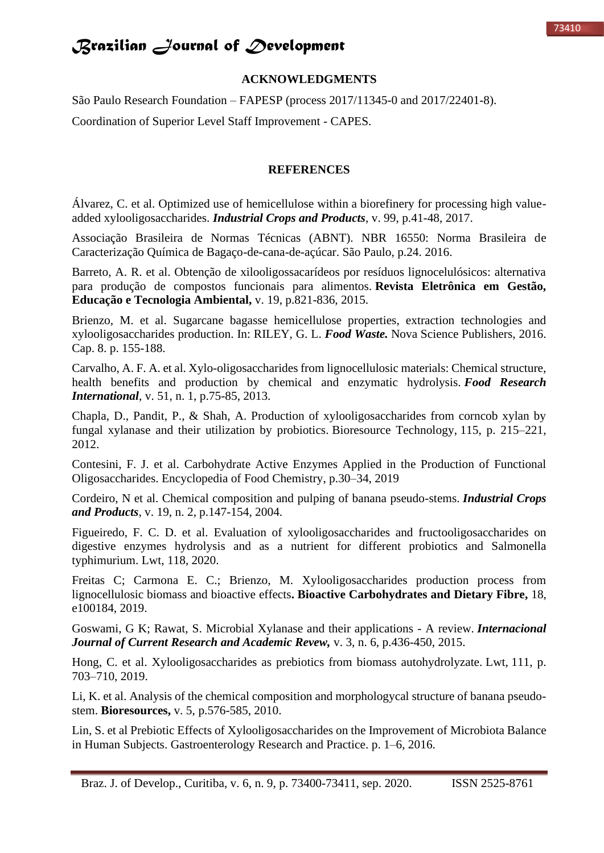### **ACKNOWLEDGMENTS**

São Paulo Research Foundation – FAPESP (process 2017/11345-0 and 2017/22401-8). Coordination of Superior Level Staff Improvement - CAPES.

#### **REFERENCES**

Álvarez, C. et al. Optimized use of hemicellulose within a biorefinery for processing high valueadded xylooligosaccharides. *Industrial Crops and Products*, v. 99, p.41-48, 2017.

Associação Brasileira de Normas Técnicas (ABNT). NBR 16550: Norma Brasileira de Caracterização Química de Bagaço-de-cana-de-açúcar. São Paulo, p.24. 2016.

Barreto, A. R. et al. Obtenção de xilooligossacarídeos por resíduos lignocelulósicos: alternativa para produção de compostos funcionais para alimentos. **Revista Eletrônica em Gestão, Educação e Tecnologia Ambiental,** v. 19, p.821-836, 2015.

Brienzo, M. et al. Sugarcane bagasse hemicellulose properties, extraction technologies and xylooligosaccharides production. In: RILEY, G. L. *Food Waste.* Nova Science Publishers, 2016. Cap. 8. p. 155-188.

Carvalho, A. F. A. et al. Xylo-oligosaccharides from lignocellulosic materials: Chemical structure, health benefits and production by chemical and enzymatic hydrolysis. *Food Research International*, v. 51, n. 1, p.75-85, 2013.

Chapla, D., Pandit, P., & Shah, A. Production of xylooligosaccharides from corncob xylan by fungal xylanase and their utilization by probiotics. Bioresource Technology, 115, p. 215–221, 2012.

Contesini, F. J. et al. Carbohydrate Active Enzymes Applied in the Production of Functional Oligosaccharides. Encyclopedia of Food Chemistry, p.30–34, 2019

Cordeiro, N et al. Chemical composition and pulping of banana pseudo-stems. *Industrial Crops and Products*, v. 19, n. 2, p.147-154, 2004.

Figueiredo, F. C. D. et al. Evaluation of xylooligosaccharides and fructooligosaccharides on digestive enzymes hydrolysis and as a nutrient for different probiotics and Salmonella typhimurium. Lwt, 118, 2020.

Freitas C; Carmona E. C.; Brienzo, M. Xylooligosaccharides production process from lignocellulosic biomass and bioactive effects**. Bioactive Carbohydrates and Dietary Fibre,** 18, e100184, 2019.

Goswami, G K; Rawat, S. Microbial Xylanase and their applications - A review. *Internacional Journal of Current Research and Academic Revew,* v. 3, n. 6, p.436-450, 2015.

Hong, C. et al. Xylooligosaccharides as prebiotics from biomass autohydrolyzate. Lwt, 111, p. 703–710, 2019.

Li, K. et al. Analysis of the chemical composition and morphologycal structure of banana pseudostem. **Bioresources,** v. 5, p.576-585, 2010.

Lin, S. et al Prebiotic Effects of Xylooligosaccharides on the Improvement of Microbiota Balance in Human Subjects. Gastroenterology Research and Practice. p. 1–6, 2016.